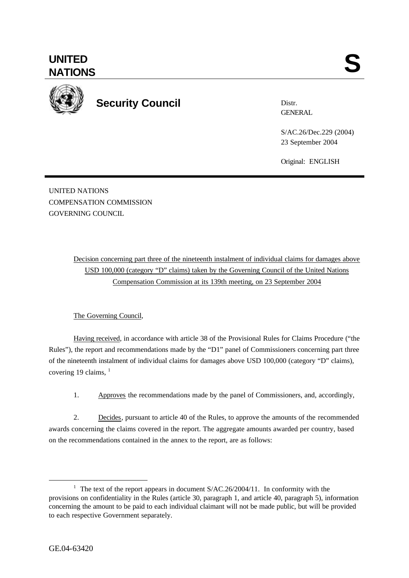

**Security Council**

Distr. **GENERAL** 

S/AC.26/Dec.229 (2004) 23 September 2004

Original: ENGLISH

UNITED NATIONS COMPENSATION COMMISSION GOVERNING COUNCIL

> Decision concerning part three of the nineteenth instalment of individual claims for damages above USD 100,000 (category "D" claims) taken by the Governing Council of the United Nations Compensation Commission at its 139th meeting, on 23 September 2004

## The Governing Council,

Having received, in accordance with article 38 of the Provisional Rules for Claims Procedure ("the Rules"), the report and recommendations made by the "D1" panel of Commissioners concerning part three of the nineteenth instalment of individual claims for damages above USD 100,000 (category "D" claims), covering 19 claims,  $1$ 

1. Approves the recommendations made by the panel of Commissioners, and, accordingly,

2. Decides, pursuant to article 40 of the Rules, to approve the amounts of the recommended awards concerning the claims covered in the report. The aggregate amounts awarded per country, based on the recommendations contained in the annex to the report, are as follows:

l

<sup>&</sup>lt;sup>1</sup> The text of the report appears in document  $S/AC.26/2004/11$ . In conformity with the provisions on confidentiality in the Rules (article 30, paragraph 1, and article 40, paragraph 5), information concerning the amount to be paid to each individual claimant will not be made public, but will be provided to each respective Government separately.